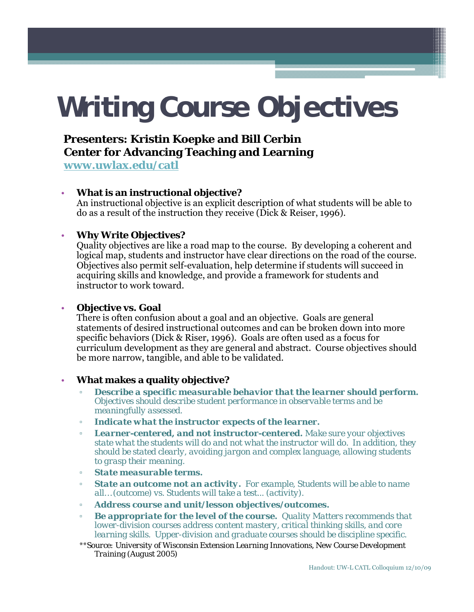# **Writing Course Objectives**

# **Presenters: Kristin Koepke and Bill Cerbin Center for Advancing Teaching and Learning**

**www uwlax edu/catl www.uwlax.edu/catl**

## • **What is an instructional objective?**

An instructional objective is an explicit description of what students will be able to do as a result of the instruction they receive (Dick & Reiser, 1996).

## • **Why Write Objectives?**

Quality objectives are like a road map to the course. By developing a coherent and logical map, students and instructor have clear directions on the road of the course. Objectives also permit self-evaluation, help determine if students will succeed in acquiring skills and knowledge, and provide a framework for students and instructor to work toward.

### **Objective vs. Goal**

There is often confusion about a goal and an objective. Goals are general statements of desired instructional outcomes and can be broken down into more specific behaviors (Dick & Riser, 1996). Goals are often used as a focus for curriculum development as they are general and abstract. Course objectives should be more narrow, tangible, and able to be validated.

### • **What makes a quality objective?**

- *Describe a specific measurable behavior that the learner should perform. Objectives should describe student performance in observable terms and be meaningfully assessed.*
- *Indicate what the instructor expects of the learner.*
- *Learner-centered, and not instructor-centered. Make sure your objectives state what the students will do and not what the instructor will do. In addition, they should be stated clearly, avoiding jargon and complex language, allowing students to grasp their meaning.*
- *State measurable terms.*
- *State an outcome not an activity. For example, Students will be able to name all… (outcome) vs. Students will take a test... (activity).*
- *Address course and unit/lesson objectives/outcomes.*
- **Be appropriate for the level of the course.** Quality Matters recommends that *lower-division courses address content mastery, critical thinking skills, and core learning skills. Upper-division and graduate courses should be discipline specific.*
- \*\**Source: University of Wisconsin Extension Learning Innovations, New Course Development Training (August 2005)*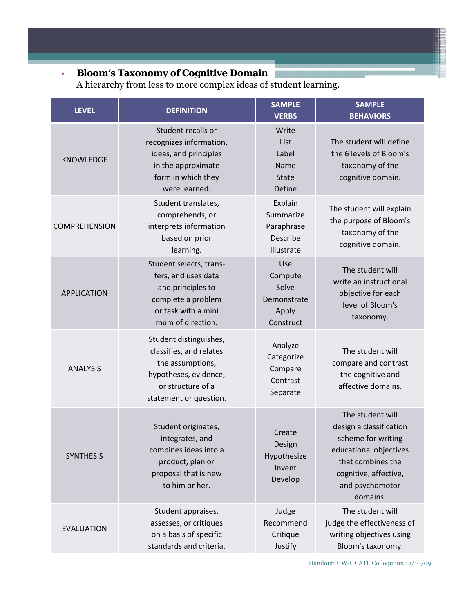## • **Bloom's Taxonomy of Cognitive Domain**

A hierarchy from less to more complex ideas of student learning.

| <b>LEVEL</b>         | <b>DEFINITION</b>                                                                                                                             | <b>SAMPLE</b><br><b>VERBS</b>                                | <b>SAMPLE</b><br><b>BEHAVIORS</b>                                                                                                                                        |  |
|----------------------|-----------------------------------------------------------------------------------------------------------------------------------------------|--------------------------------------------------------------|--------------------------------------------------------------------------------------------------------------------------------------------------------------------------|--|
| <b>KNOWLEDGE</b>     | Student recalls or<br>recognizes information,<br>ideas, and principles<br>in the approximate<br>form in which they<br>were learned.           | Write<br>List<br>Label<br>Name<br><b>State</b><br>Define     | The student will define<br>the 6 levels of Bloom's<br>taxonomy of the<br>cognitive domain.                                                                               |  |
| <b>COMPREHENSION</b> | Student translates,<br>comprehends, or<br>interprets information<br>based on prior<br>learning.                                               | Explain<br>Summarize<br>Paraphrase<br>Describe<br>Illustrate | The student will explain<br>the purpose of Bloom's<br>taxonomy of the<br>cognitive domain.                                                                               |  |
| <b>APPLICATION</b>   | Student selects, trans-<br>fers, and uses data<br>and principles to<br>complete a problem<br>or task with a mini<br>mum of direction.         | Use<br>Compute<br>Solve<br>Demonstrate<br>Apply<br>Construct | The student will<br>write an instructional<br>objective for each<br>level of Bloom's<br>taxonomy.                                                                        |  |
| <b>ANALYSIS</b>      | Student distinguishes,<br>classifies, and relates<br>the assumptions,<br>hypotheses, evidence,<br>or structure of a<br>statement or question. | Analyze<br>Categorize<br>Compare<br>Contrast<br>Separate     | The student will<br>compare and contrast<br>the cognitive and<br>affective domains.                                                                                      |  |
| <b>SYNTHESIS</b>     | Student originates,<br>integrates, and<br>combines ideas into a<br>product, plan or<br>proposal that is new<br>to him or her.                 | Create<br>Design<br>Hypothesize<br>Invent<br>Develop         | The student will<br>design a classification<br>scheme for writing<br>educational objectives<br>that combines the<br>cognitive, affective,<br>and psychomotor<br>domains. |  |
| <b>EVALUATION</b>    | Student appraises,<br>assesses, or critiques<br>on a basis of specific<br>standards and criteria.                                             | Judge<br>Recommend<br>Critique<br>Justify                    | The student will<br>judge the effectiveness of<br>writing objectives using<br>Bloom's taxonomy.                                                                          |  |

Handout: UW-L CATL Colloquium 12/10/09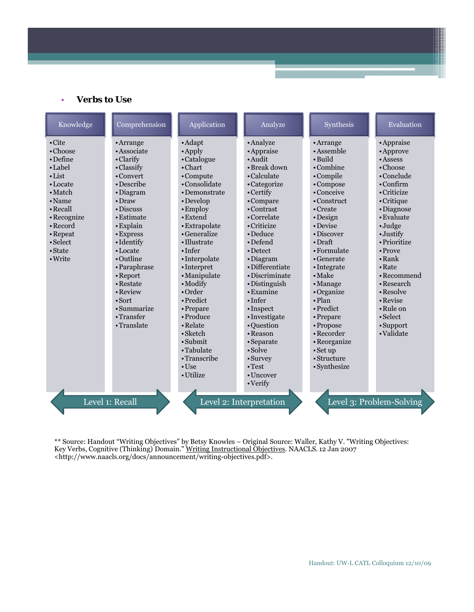• **Verbs** to Use

| Knowledge                                                                                                                                                               | Comprehension                                                                                                                                                        | Application                                                                                                                                                                               | Analyze                                                                                                                                                                                   | Synthesis                                                                                                                                                                                           | Evaluation                                                                                                                                                                                  |
|-------------------------------------------------------------------------------------------------------------------------------------------------------------------------|----------------------------------------------------------------------------------------------------------------------------------------------------------------------|-------------------------------------------------------------------------------------------------------------------------------------------------------------------------------------------|-------------------------------------------------------------------------------------------------------------------------------------------------------------------------------------------|-----------------------------------------------------------------------------------------------------------------------------------------------------------------------------------------------------|---------------------------------------------------------------------------------------------------------------------------------------------------------------------------------------------|
| $\cdot$ Cite<br>$\cdot$ Choose<br>• Define<br>• Label<br>$\cdot$ List<br>• Locate<br>• Match<br>$\cdot$ Name<br>• Recall<br>• Recognize<br>$\bullet$ Record<br>• Repeat | $•$ Arrange<br>• Associate<br>• Clarify<br>• Classify<br>• Convert<br>• Describe<br>· Diagram<br>$\bullet$ Draw<br>• Discuss<br>• Estimate<br>• Explain<br>• Express | • Adapt<br>$\cdot$ Apply<br>• Catalogue<br>$\cdot$ Chart<br>•Compute<br>•Consolidate<br>• Demonstrate<br>• Develop<br>• Employ<br>$\bullet$ Extend<br>• Extrapolate<br>• Generalize       | • Analyze<br>• Appraise<br>$\bullet$ Audit<br>• Break down<br>• Calculate<br>• Categorize<br>• Certify<br>•Compare<br>• Contrast<br>• Correlate<br>• Criticize<br>$\bullet$ Deduce        | • Arrange<br>• Assemble<br>• Build<br>$\cdot$ Combine<br>•Compile<br>•Compose<br>• Conceive<br>$\cdot$ Construct<br>• Create<br>• Design<br>• Devise<br>• Discover                                  | • Appraise<br>• Approve<br>• Assess<br>$\cdot$ Choose<br>$\bullet$ Conclude<br>$\cdot$ Confirm<br>• Criticize<br>$\cdot$ Critique<br>• Diagnose<br>• Evaluate<br>$\cdot$ Judge<br>• Justify |
| $\bullet$ Select<br>• State<br>• Write                                                                                                                                  | • Identify<br>• Locate<br>• Outline<br>• Paraphrase<br>• Report<br>• Restate<br>• Review<br>$\cdot$ Sort<br>• Summarize<br>•Transfer<br>•Translate                   | • Illustrate<br>$\cdot$ Infer<br>•Interpolate<br>•Interpret<br>• Manipulate<br>$\bullet$ Modify<br>$\bullet$ Order<br>• Predict<br>• Prepare<br>• Produce<br>• Relate<br>$\bullet$ Sketch | • Defend<br>• Detect<br>• Diagram<br>• Differentiate<br>• Discriminate<br>• Distinguish<br>$\cdot$ Examine<br>$\cdot$ Infer<br>$\cdot$ Inspect<br>· Investigate<br>• Question<br>• Reason | $\cdot$ Draft<br>$\cdot$ Formulate<br>$\cdot$ Generate<br>• Integrate<br>$\bullet$ Make<br>$\cdot$ Manage<br>•Organize<br>$\cdot$ Plan<br>$\bullet$ Predict<br>• Prepare<br>• Propose<br>• Recorder | • Prioritize<br>$\bullet$ Prove<br>$\cdot$ Rank<br>$\cdot$ Rate<br>• Recommend<br>• Research<br>$\cdot$ Resolve<br>$\cdot$ Revise<br>• Rule on<br>$\cdot$ Select<br>• Support<br>•Validate  |
|                                                                                                                                                                         | Level 1: Recall                                                                                                                                                      | $\cdot$ Submit<br>•Tabulate<br>•Transcribe<br>$\cdot$ Use<br>• Utilize                                                                                                                    | • Separate<br>$\bullet$ Solve<br>$\cdot$ Survey<br>$\cdot$ Test<br>$\cdot$ Uncover<br>$\cdot$ Verify<br>Level 2: Interpretation                                                           | • Reorganize<br>$\cdot$ Set up<br>$\bullet$ Structure<br>• Synthesize                                                                                                                               | Level 3: Problem-Solving                                                                                                                                                                    |

\*\* Source: Handout "Writing Objectives" by Betsy Knowles – Original Source: Waller, Kathy V. "Writing Objectives: Key Verbs, Cognitive (Thinking) Domain." Writing Instructional Objectives. NAACLS. 12 Jan 2007 <http://www.naacls.org/docs/announcement/writing-objectives.pdf>.